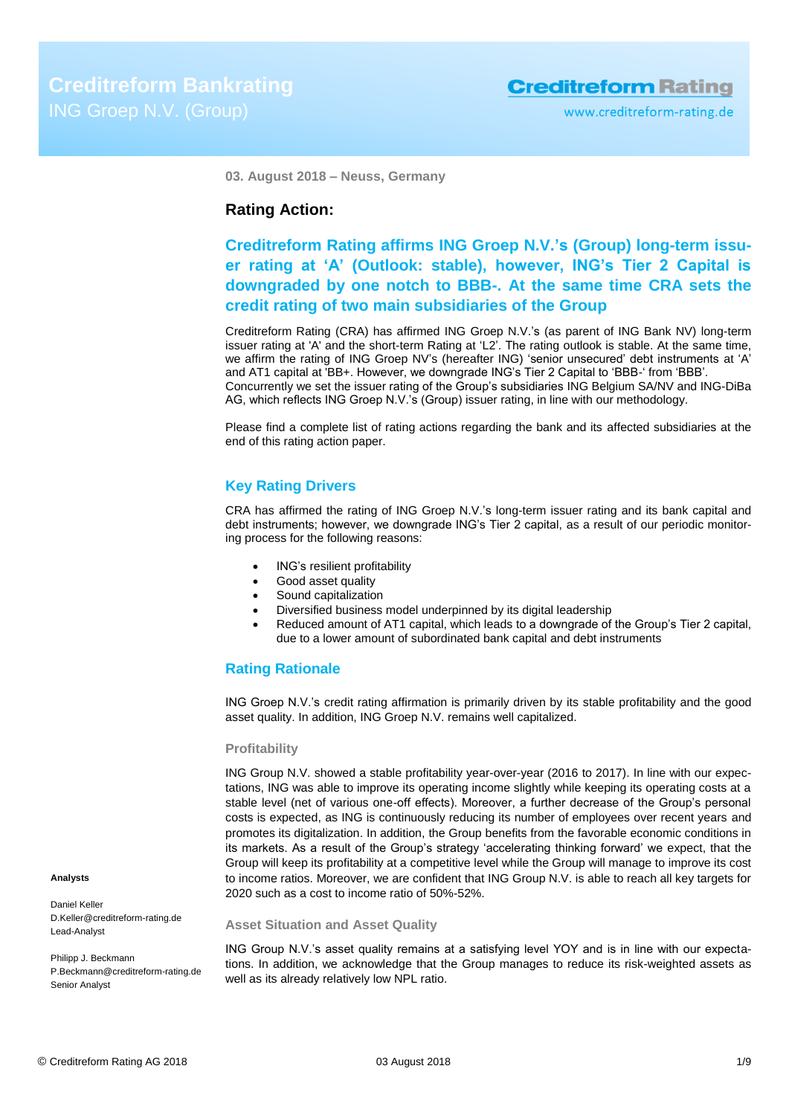**03. August 2018 – Neuss, Germany**

# **Rating Action:**

# **Creditreform Rating affirms ING Groep N.V.'s (Group) long-term issuer rating at 'A' (Outlook: stable), however, ING's Tier 2 Capital is downgraded by one notch to BBB-. At the same time CRA sets the credit rating of two main subsidiaries of the Group**

Creditreform Rating (CRA) has affirmed ING Groep N.V.'s (as parent of ING Bank NV) long-term issuer rating at 'A' and the short-term Rating at 'L2'. The rating outlook is stable. At the same time, we affirm the rating of ING Groep NV's (hereafter ING) 'senior unsecured' debt instruments at 'A' and AT1 capital at 'BB+. However, we downgrade ING's Tier 2 Capital to 'BBB-' from 'BBB'. Concurrently we set the issuer rating of the Group's subsidiaries ING Belgium SA/NV and ING-DiBa AG, which reflects ING Groep N.V.'s (Group) issuer rating, in line with our methodology.

Please find a complete list of rating actions regarding the bank and its affected subsidiaries at the end of this rating action paper.

# **Key Rating Drivers**

CRA has affirmed the rating of ING Groep N.V.'s long-term issuer rating and its bank capital and debt instruments; however, we downgrade ING's Tier 2 capital, as a result of our periodic monitoring process for the following reasons:

- ING's resilient profitability
- Good asset quality
- Sound capitalization
- Diversified business model underpinned by its digital leadership
- Reduced amount of AT1 capital, which leads to a downgrade of the Group's Tier 2 capital, due to a lower amount of subordinated bank capital and debt instruments

# **Rating Rationale**

ING Groep N.V.'s credit rating affirmation is primarily driven by its stable profitability and the good asset quality. In addition, ING Groep N.V. remains well capitalized.

# **Profitability**

ING Group N.V. showed a stable profitability year-over-year (2016 to 2017). In line with our expectations, ING was able to improve its operating income slightly while keeping its operating costs at a stable level (net of various one-off effects). Moreover, a further decrease of the Group's personal costs is expected, as ING is continuously reducing its number of employees over recent years and promotes its digitalization. In addition, the Group benefits from the favorable economic conditions in its markets. As a result of the Group's strategy 'accelerating thinking forward' we expect, that the Group will keep its profitability at a competitive level while the Group will manage to improve its cost to income ratios. Moreover, we are confident that ING Group N.V. is able to reach all key targets for 2020 such as a cost to income ratio of 50%-52%.

#### **Asset Situation and Asset Quality**

ING Group N.V.'s asset quality remains at a satisfying level YOY and is in line with our expectations. In addition, we acknowledge that the Group manages to reduce its risk-weighted assets as well as its already relatively low NPL ratio.

#### **Analysts**

Daniel Keller D.Keller@creditreform-rating.de Lead-Analyst

Philipp J. Beckmann P.Beckmann@creditreform-rating.de Senior Analyst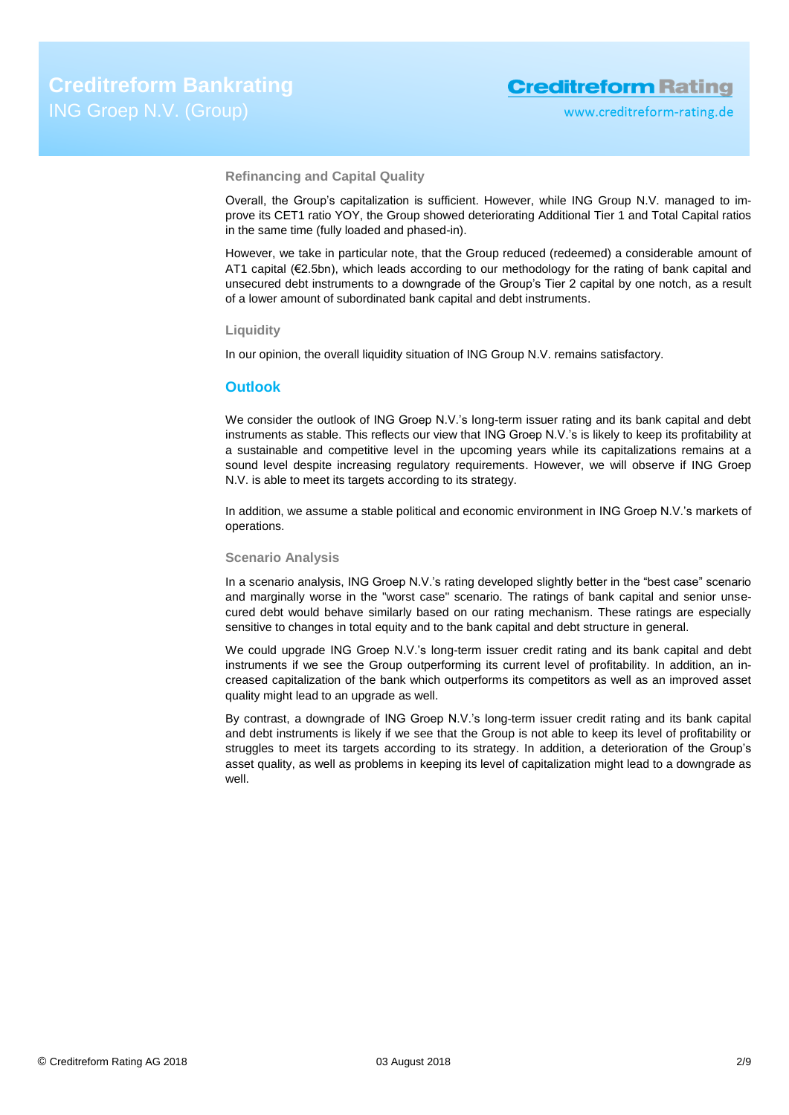**Refinancing and Capital Quality**

Overall, the Group's capitalization is sufficient. However, while ING Group N.V. managed to improve its CET1 ratio YOY, the Group showed deteriorating Additional Tier 1 and Total Capital ratios in the same time (fully loaded and phased-in).

However, we take in particular note, that the Group reduced (redeemed) a considerable amount of AT1 capital (€2.5bn), which leads according to our methodology for the rating of bank capital and unsecured debt instruments to a downgrade of the Group's Tier 2 capital by one notch, as a result of a lower amount of subordinated bank capital and debt instruments.

#### **Liquidity**

In our opinion, the overall liquidity situation of ING Group N.V. remains satisfactory.

#### **Outlook**

We consider the outlook of ING Groep N.V.'s long-term issuer rating and its bank capital and debt instruments as stable. This reflects our view that ING Groep N.V.'s is likely to keep its profitability at a sustainable and competitive level in the upcoming years while its capitalizations remains at a sound level despite increasing regulatory requirements. However, we will observe if ING Groep N.V. is able to meet its targets according to its strategy.

In addition, we assume a stable political and economic environment in ING Groep N.V.'s markets of operations.

### **Scenario Analysis**

In a scenario analysis, ING Groep N.V.'s rating developed slightly better in the "best case" scenario and marginally worse in the "worst case" scenario. The ratings of bank capital and senior unsecured debt would behave similarly based on our rating mechanism. These ratings are especially sensitive to changes in total equity and to the bank capital and debt structure in general.

We could upgrade ING Groep N.V.'s long-term issuer credit rating and its bank capital and debt instruments if we see the Group outperforming its current level of profitability. In addition, an increased capitalization of the bank which outperforms its competitors as well as an improved asset quality might lead to an upgrade as well.

By contrast, a downgrade of ING Groep N.V.'s long-term issuer credit rating and its bank capital and debt instruments is likely if we see that the Group is not able to keep its level of profitability or struggles to meet its targets according to its strategy. In addition, a deterioration of the Group's asset quality, as well as problems in keeping its level of capitalization might lead to a downgrade as well.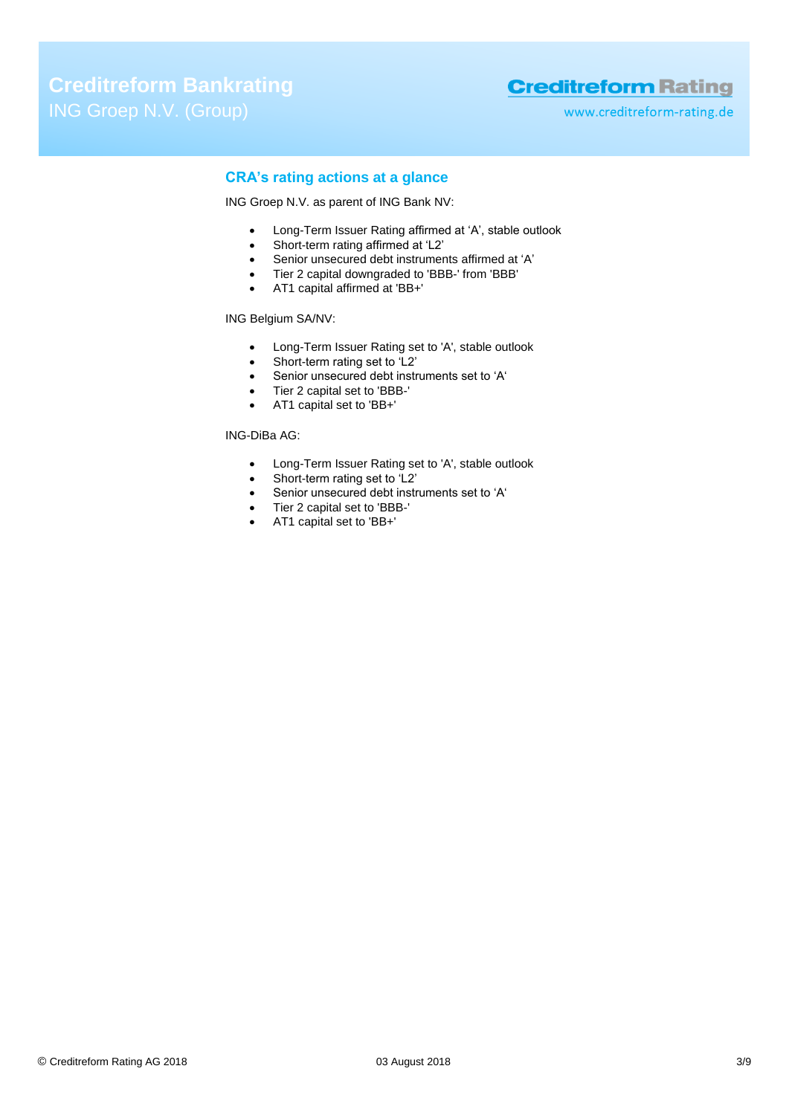www.creditreform-rating.de

# **CRA's rating actions at a glance**

ING Groep N.V. as parent of ING Bank NV:

- Long-Term Issuer Rating affirmed at 'A', stable outlook
- Short-term rating affirmed at 'L2'
- Senior unsecured debt instruments affirmed at 'A'<br>• Tier 2 capital downgraded to 'BBB-' from 'BBB'
- Tier 2 capital downgraded to 'BBB-' from 'BBB'
- AT1 capital affirmed at 'BB+'

## ING Belgium SA/NV:

- Long-Term Issuer Rating set to 'A', stable outlook
- Short-term rating set to 'L2'
- Senior unsecured debt instruments set to 'A'
- Tier 2 capital set to 'BBB-'
- AT1 capital set to 'BB+'

# ING-DiBa AG:

- Long-Term Issuer Rating set to 'A', stable outlook
- Short-term rating set to 'L2'
- Senior unsecured debt instruments set to 'A'
- Tier 2 capital set to 'BBB-'
- AT1 capital set to 'BB+'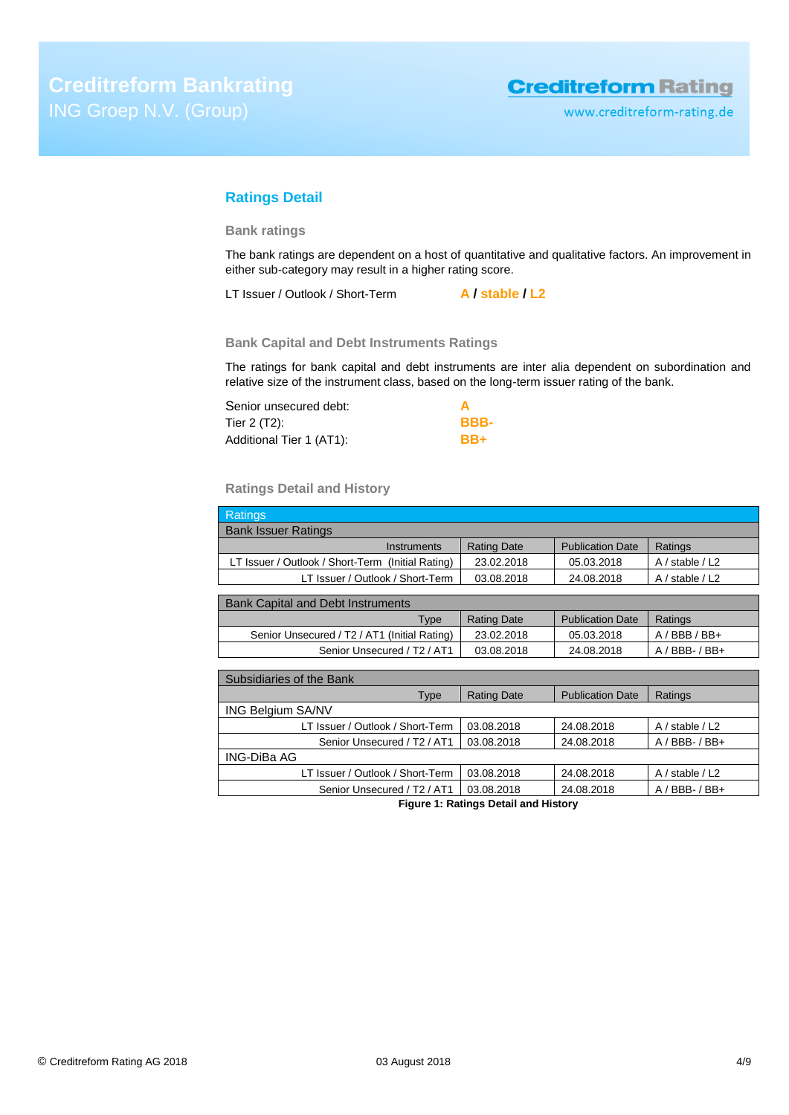# **Ratings Detail**

## **Bank ratings**

The bank ratings are dependent on a host of quantitative and qualitative factors. An improvement in either sub-category may result in a higher rating score.

LT Issuer / Outlook / Short-Term **A / stable / L2**

# **Bank Capital and Debt Instruments Ratings**

The ratings for bank capital and debt instruments are inter alia dependent on subordination and relative size of the instrument class, based on the long-term issuer rating of the bank.

| Senior unsecured debt:   |      |
|--------------------------|------|
| Tier 2 (T2):             | BBB- |
| Additional Tier 1 (AT1): | BB+  |

# **Ratings Detail and History**

| <b>Ratings</b>                                      |                    |                         |                     |
|-----------------------------------------------------|--------------------|-------------------------|---------------------|
| <b>Bank Issuer Ratings</b>                          |                    |                         |                     |
| <b>Instruments</b>                                  | <b>Rating Date</b> | <b>Publication Date</b> | Ratings             |
| LT Issuer / Outlook / Short-Term (Initial Rating)   | 23.02.2018         | 05.03.2018              | $A /$ stable $/ L2$ |
| LT Issuer / Outlook / Short-Term                    | 03.08.2018         | 24.08.2018              | A / stable / L2     |
|                                                     |                    |                         |                     |
| <b>Bank Capital and Debt Instruments</b>            |                    |                         |                     |
| Type                                                | <b>Rating Date</b> | <b>Publication Date</b> | Ratings             |
| Senior Unsecured / T2 / AT1 (Initial Rating)        | 23.02.2018         | 05.03.2018              | BBB/BB+<br>A /      |
| Senior Unsecured / T <sub>2</sub> / AT <sub>1</sub> | 03.08.2018         | 24.08.2018              | $A / BBB - / BB +$  |
|                                                     |                    |                         |                     |

| Subsidiaries of the Bank                |                    |                         |                     |
|-----------------------------------------|--------------------|-------------------------|---------------------|
| Type                                    | <b>Rating Date</b> | <b>Publication Date</b> | Ratings             |
| <b>ING Belgium SA/NV</b>                |                    |                         |                     |
| LT Issuer / Outlook / Short-Term        | 03.08.2018         | 24.08.2018              | $A /$ stable $/ L2$ |
| Senior Unsecured / T <sub>2</sub> / AT1 | 03.08.2018         | 24.08.2018              | $A / BBB - / BB +$  |
| ING-DiBa AG                             |                    |                         |                     |
| LT Issuer / Outlook / Short-Term        | 03.08.2018         | 24.08.2018              | $A /$ stable $/ L2$ |
| Senior Unsecured / T2 / AT1             | 03.08.2018         | 24.08.2018              | $A / BBB - / BB +$  |

**Figure 1: Ratings Detail and History**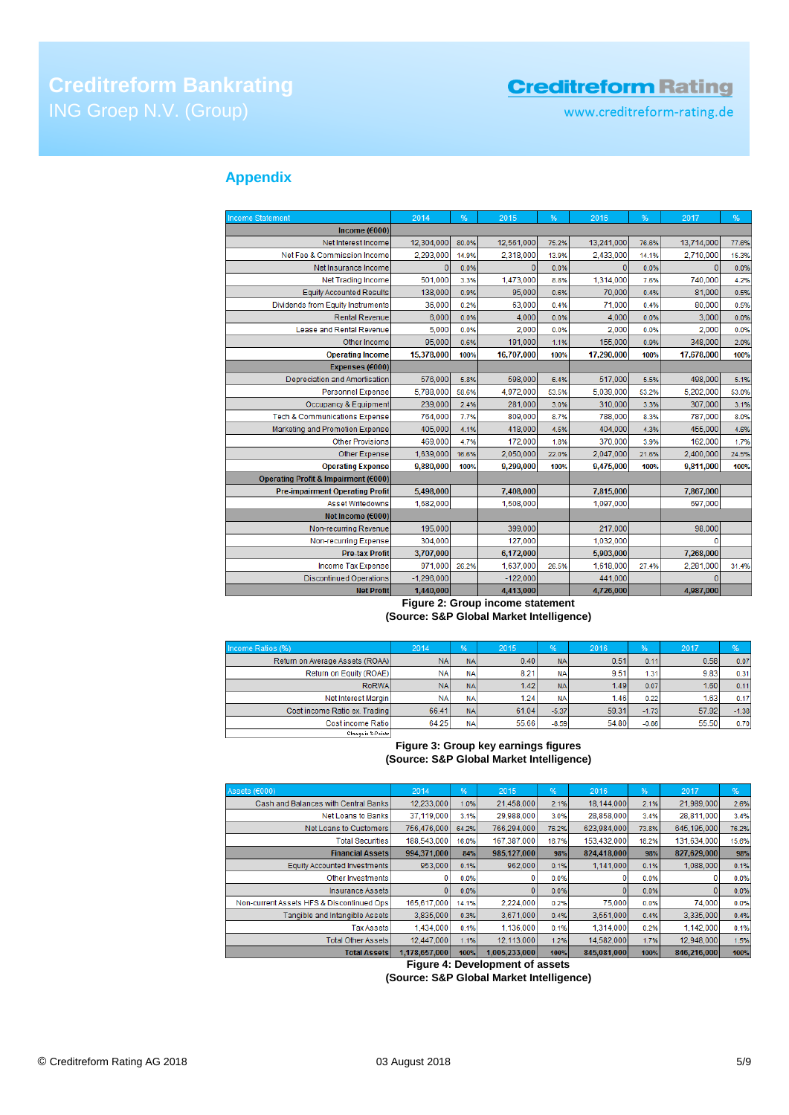# **Creditreform Bankrating**

# **Creditreform Rating**

www.creditreform-rating.de

# **Appendix**

| <b>Income Statement</b>                  | 2014           | %     | 2015       | %     | 2016       | %     | 2017       | %     |
|------------------------------------------|----------------|-------|------------|-------|------------|-------|------------|-------|
| Income ( $\epsilon$ 000)                 |                |       |            |       |            |       |            |       |
| Net Interest Income                      | 12,304,000     | 80.0% | 12,561,000 | 75.2% | 13,241,000 | 76.6% | 13,714,000 | 77.6% |
| Net Fee & Commission Income              | 2,293,000      | 14.9% | 2,318,000  | 13.9% | 2,433,000  | 14.1% | 2,710,000  | 15.3% |
| Net Insurance Income                     | $\overline{0}$ | 0.0%  | $\Omega$   | 0.0%  | 0          | 0.0%  | $\Omega$   | 0.0%  |
| <b>Net Trading Income</b>                | 501,000        | 3.3%  | 1,473,000  | 8.8%  | 1,314,000  | 7.6%  | 740,000    | 4.2%  |
| <b>Equity Accounted Results</b>          | 138,000        | 0.9%  | 95,000     | 0.6%  | 70,000     | 0.4%  | 81.000     | 0.5%  |
| Dividends from Equity Instruments        | 36,000         | 0.2%  | 63,000     | 0.4%  | 71,000     | 0.4%  | 80,000     | 0.5%  |
| <b>Rental Revenue</b>                    | 6.000          | 0.0%  | 4,000      | 0.0%  | 4,000      | 0.0%  | 3,000      | 0.0%  |
| Lease and Rental Revenue                 | 5,000          | 0.0%  | 2,000      | 0.0%  | 2,000      | 0.0%  | 2,000      | 0.0%  |
| Other Income                             | 95,000         | 0.6%  | 191,000    | 1.1%  | 155,000    | 0.9%  | 348,000    | 2.0%  |
| <b>Operating Income</b>                  | 15,378,000     | 100%  | 16,707,000 | 100%  | 17,290,000 | 100%  | 17,678,000 | 100%  |
| Expenses (€000)                          |                |       |            |       |            |       |            |       |
| Depreciation and Amortisation            | 576,000        | 5.8%  | 598,000    | 6.4%  | 517,000    | 5.5%  | 498,000    | 5.1%  |
| <b>Personnel Expense</b>                 | 5,788,000      | 58.6% | 4,972,000  | 53.5% | 5,039,000  | 53.2% | 5,202,000  | 53.0% |
| Occupancy & Equipment                    | 239,000        | 2.4%  | 281,000    | 3.0%  | 310,000    | 3.3%  | 307,000    | 3.1%  |
| <b>Tech &amp; Communications Expense</b> | 764.000        | 7.7%  | 809,000    | 8.7%  | 788,000    | 8.3%  | 787,000    | 8.0%  |
| Marketing and Promotion Expense          | 405,000        | 4.1%  | 418,000    | 4.5%  | 404,000    | 4.3%  | 455,000    | 4.6%  |
| <b>Other Provisions</b>                  | 469,000        | 4.7%  | 172,000    | 1.8%  | 370,000    | 3.9%  | 162,000    | 1.7%  |
| <b>Other Expense</b>                     | 1,639,000      | 16.6% | 2,050,000  | 22.0% | 2,047,000  | 21.6% | 2,400,000  | 24.5% |
| <b>Operating Expense</b>                 | 9,880,000      | 100%  | 9,299,000  | 100%  | 9,475,000  | 100%  | 9,811,000  | 100%  |
| Operating Profit & Impairment (€000)     |                |       |            |       |            |       |            |       |
| <b>Pre-impairment Operating Profit</b>   | 5,498,000      |       | 7,408,000  |       | 7,815,000  |       | 7,867,000  |       |
| Asset Writedowns                         | 1,682,000      |       | 1,508,000  |       | 1,097,000  |       | 697,000    |       |
| Net Income (€000)                        |                |       |            |       |            |       |            |       |
| Non-recurring Revenue                    | 195,000        |       | 399,000    |       | 217,000    |       | 98,000     |       |
| Non-recurring Expense                    | 304.000        |       | 127,000    |       | 1,032,000  |       | 0          |       |
| <b>Pre-tax Profit</b>                    | 3,707,000      |       | 6,172,000  |       | 5,903,000  |       | 7,268,000  |       |
| Income Tax Expense                       | 971,000        | 26.2% | 1,637,000  | 26.5% | 1,618,000  | 27.4% | 2,281,000  | 31.4% |
| <b>Discontinued Operations</b>           | $-1,296,000$   |       | $-122,000$ |       | 441,000    |       | $\Omega$   |       |
| <b>Net Profit</b>                        | 1,440,000      |       | 4,413,000  |       | 4,726,000  |       | 4,987,000  |       |

### **Figure 2: Group income statement (Source: S&P Global Market Intelligence)**

| Income Ratios (%)               | 2014      | %         | 2015  | $\frac{96}{5}$ | 2016  | %       | 2017  | $\frac{96}{5}$ |
|---------------------------------|-----------|-----------|-------|----------------|-------|---------|-------|----------------|
| Return on Average Assets (ROAA) | <b>NA</b> | <b>NA</b> | 0.40  | <b>NA</b>      | 0.51  | 0.11    | 0.58  | 0.07           |
| Return on Equity (ROAE)         | <b>NA</b> | <b>NA</b> | 8.21  | <b>NA</b>      | 9.51  | 1.31    | 9.83  | 0.31           |
| RoRWA                           | <b>NA</b> | <b>NA</b> | 1.42  | <b>NA</b>      | 1.49  | 0.07    | 1.60  | 0.11           |
| Net Interest Margin             | <b>NA</b> | <b>NA</b> | 1.24  | <b>NA</b>      | 1.46  | 0.22    | 1.63  | 0.17           |
| Cost income Ratio ex. Trading   | 66.41     | <b>NA</b> | 61.04 | $-5.37$        | 59.31 | $-1.73$ | 57.92 | $-1.38$        |
| Cost income Ratio               | 64.25     | <b>NA</b> | 55.66 | $-8.59$        | 54.80 | $-0.86$ | 55.50 | 0.70           |
| Change in 2-Points              |           |           |       |                |       |         |       |                |

# **Figure 3: Group key earnings figures (Source: S&P Global Market Intelligence)**

| Assets (€000)                             | 2014          | %     | 2015          | %     | 2016        | 96.   | 2017        | %     |
|-------------------------------------------|---------------|-------|---------------|-------|-------------|-------|-------------|-------|
| Cash and Balances with Central Banks      | 12,233,000    | 1.0%  | 21,458,000    | 2.1%  | 18.144.000  | 2.1%  | 21,989,000  | 2.6%  |
| Net Loans to Banks                        | 37,119,000    | 3.1%  | 29,988,000    | 3.0%  | 28,858,000  | 3.4%  | 28,811,000  | 3.4%  |
| Net Loans to Customers                    | 756,476,000   | 64.2% | 766,294,000   | 76.2% | 623,984,000 | 73.8% | 645,195,000 | 76.2% |
| <b>Total Securities</b>                   | 188,543,000   | 16.0% | 167,387,000   | 16.7% | 153,432,000 | 18.2% | 131,634,000 | 15.6% |
| <b>Financial Assets</b>                   | 994,371,000   | 84%   | 985,127,000   | 98%   | 824,418,000 | 98%   | 827,629,000 | 98%   |
| <b>Equity Accounted Investments</b>       | 953,000       | 0.1%  | 962,000       | 0.1%  | 1,141,000   | 0.1%  | 1,088,000   | 0.1%  |
| Other Investments                         |               | 0.0%  |               | 0.0%  |             | 0.0%  |             | 0.0%  |
| <b>Insurance Assets</b>                   |               | 0.0%  |               | 0.0%  |             | 0.0%  |             | 0.0%  |
| Non-current Assets HFS & Discontinued Ops | 165,617,000   | 14.1% | 2.224,000     | 0.2%  | 75,000      | 0.0%  | 74,000      | 0.0%  |
| Tangible and Intangible Assets            | 3.835,000     | 0.3%  | 3,671,000     | 0.4%  | 3.551.000   | 0.4%  | 3.335.000   | 0.4%  |
| <b>Tax Assets</b>                         | 1.434.000     | 0.1%  | 1.136.000     | 0.1%  | 1.314.000   | 0.2%  | 1.142.000   | 0.1%  |
| <b>Total Other Assets</b>                 | 12.447.000    | 1.1%  | 12.113.000    | 1.2%  | 14.582.000  | 1.7%  | 12,948,000  | 1.5%  |
| <b>Total Assets</b>                       | 1.178.657.000 | 100%  | 1.005.233.000 | 100%  | 845,081,000 | 100%  | 846,216,000 | 100%  |

**Figure 4: Development of assets**

**(Source: S&P Global Market Intelligence)**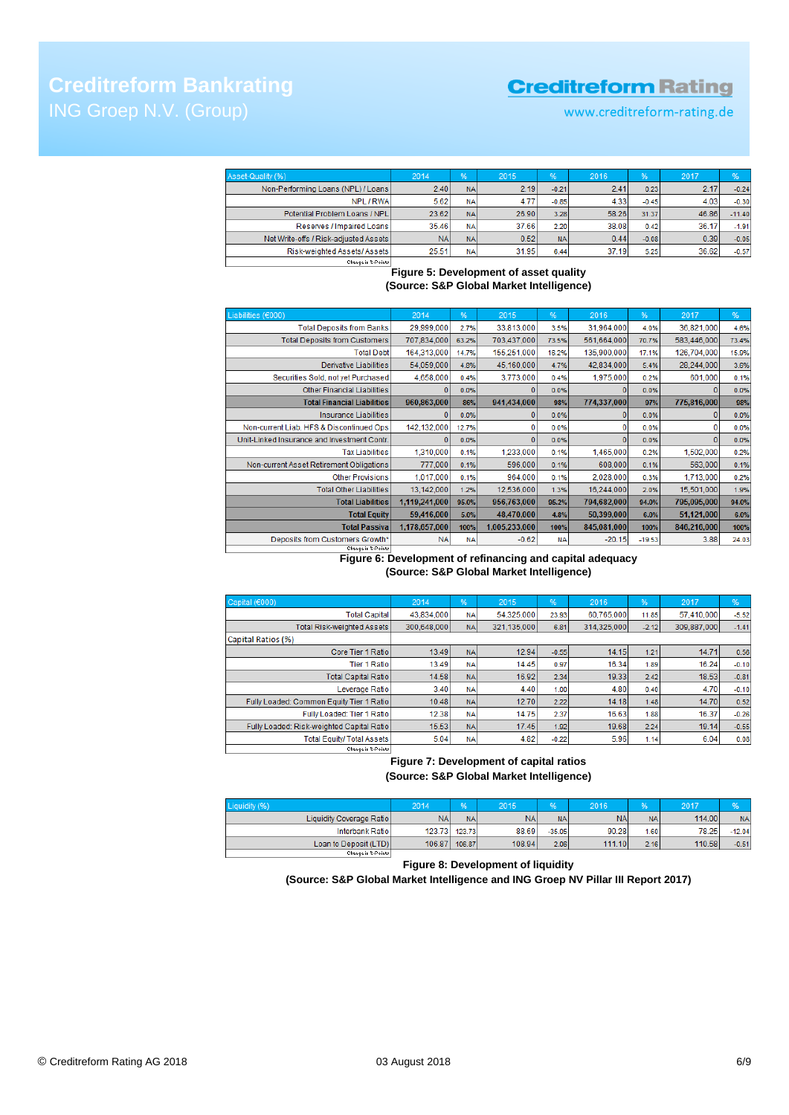# **Creditreform Bankrating**

# **Creditreform Rating**

www.creditreform-rating.de

| Asset-Quality (%)                     | 2014      | %         | 2015  | %         | 2016  | %       | 2017  | %        |
|---------------------------------------|-----------|-----------|-------|-----------|-------|---------|-------|----------|
| Non-Performing Loans (NPL) / Loans    | 2.40      | <b>NA</b> | 2.19  | $-0.21$   | 2.41  | 0.23    | 2.17  | $-0.24$  |
| NPL / RWA                             | 5.62      | <b>NA</b> | 4.77  | $-0.85$   | 4.33  | $-0.45$ | 4.03  | $-0.30$  |
| Potential Problem Loans / NPL         | 23.62     | <b>NA</b> | 26.90 | 3.28      | 58.26 | 31.37   | 46.86 | $-11.40$ |
| Reserves / Impaired Loans             | 35.46     | <b>NA</b> | 37.66 | 2.20      | 38.08 | 0.42    | 36.17 | $-1.91$  |
| Net Write-offs / Risk-adjusted Assets | <b>NA</b> | <b>NA</b> | 0.52  | <b>NA</b> | 0.44  | $-0.08$ | 0.39  | $-0.05$  |
| Risk-weighted Assets/ Assets          | 25.51     | <b>NA</b> | 31.95 | 6.44      | 37.19 | 5.25    | 36.62 | $-0.57$  |
|                                       |           |           |       |           |       |         |       |          |

**Figure 5: Development of asset quality** 

**(Source: S&P Global Market Intelligence)**

| Liabilities (€000)                          | 2014          | %         | 2015          | %         | 2016        | %        | 2017        | %     |
|---------------------------------------------|---------------|-----------|---------------|-----------|-------------|----------|-------------|-------|
| <b>Total Deposits from Banks</b>            | 29,999,000    | 2.7%      | 33,813,000    | 3.5%      | 31,964,000  | 4.0%     | 36,821,000  | 4.6%  |
| <b>Total Deposits from Customers</b>        | 707,834,000   | 63.2%     | 703,437,000   | 73.5%     | 561,664,000 | 70.7%    | 583,446,000 | 73.4% |
| <b>Total Debt</b>                           | 164,313,000   | 14.7%     | 155,251,000   | 16.2%     | 135,900,000 | 17.1%    | 126,704,000 | 15.9% |
| Derivative Liabilities                      | 54,059,000    | 4.8%      | 45,160,000    | 4.7%      | 42,834,000  | 5.4%     | 28,244,000  | 3.6%  |
| Securities Sold, not yet Purchased          | 4,658,000     | 0.4%      | 3,773,000     | 0.4%      | 1,975,000   | 0.2%     | 601,000     | 0.1%  |
| <b>Other Financial Liabilities</b>          | o             | 0.0%      |               | 0.0%      | $\Omega$    | 0.0%     | o           | 0.0%  |
| <b>Total Financial Liabilities</b>          | 960,863,000   | 86%       | 941,434,000   | 98%       | 774,337,000 | 97%      | 775,816,000 | 98%   |
| <b>Insurance Liabilities</b>                |               | 0.0%      |               | 0.0%      | o           | 0.0%     |             | 0.0%  |
| Non-current Liab. HFS & Discontinued Ops    | 142,132,000   | 12.7%     |               | 0.0%      | 0           | 0.0%     | o           | 0.0%  |
| Unit-Linked Insurance and Investment Contr. | n             | 0.0%      | 0             | 0.0%      | $\Omega$    | 0.0%     | $\Omega$    | 0.0%  |
| <b>Tax Liabilities</b>                      | 1,310,000     | 0.1%      | 1.233,000     | 0.1%      | 1,465,000   | 0.2%     | 1,502,000   | 0.2%  |
| Non-current Asset Retirement Obligations    | 777,000       | 0.1%      | 596,000       | 0.1%      | 608,000     | 0.1%     | 563,000     | 0.1%  |
| <b>Other Provisions</b>                     | 1.017.000     | 0.1%      | 964,000       | 0.1%      | 2,028,000   | 0.3%     | 1,713,000   | 0.2%  |
| <b>Total Other Liabilities</b>              | 13,142,000    | 1.2%      | 12,536,000    | 1.3%      | 16,244,000  | 2.0%     | 15,501,000  | 1.9%  |
| <b>Total Liabilities</b>                    | 1,119,241,000 | 95.0%     | 956,763,000   | 95.2%     | 794,682,000 | 94.0%    | 795,095,000 | 94.0% |
| <b>Total Equity</b>                         | 59,416,000    | 5.0%      | 48,470,000    | 4.8%      | 50,399,000  | 6.0%     | 51,121,000  | 6.0%  |
| <b>Total Passiva</b>                        | 1,178,657,000 | 100%      | 1,005,233,000 | 100%      | 845,081,000 | 100%     | 846,216,000 | 100%  |
| Deposits from Customers Growth*             | <b>NA</b>     | <b>NA</b> | $-0.62$       | <b>NA</b> | $-20.15$    | $-19.53$ | 3.88        | 24.03 |
| Change in %-Points                          |               |           |               |           |             |          |             |       |

# **Figure 6: Development of refinancing and capital adequacy (Source: S&P Global Market Intelligence)**

| Capital (€000)                            | 2014        | %         | 2015        | %       | 2016        | %       | 2017        | %       |
|-------------------------------------------|-------------|-----------|-------------|---------|-------------|---------|-------------|---------|
| <b>Total Capital</b>                      | 43.834.000  | <b>NA</b> | 54.325.000  | 23.93   | 60.765.000  | 11.85   | 57.410.000  | $-5.52$ |
| <b>Total Risk-weighted Assets</b>         | 300.648.000 | <b>NA</b> | 321.135.000 | 6.81    | 314.325.000 | $-2.12$ | 309.887.000 | $-1.41$ |
| Capital Ratios (%)                        |             |           |             |         |             |         |             |         |
| Core Tier 1 Ratio                         | 13.49       | <b>NA</b> | 12.94       | $-0.55$ | 14.15       | 1.21    | 14.71       | 0.56    |
| <b>Tier 1 Ratio</b>                       | 13.49       | <b>NA</b> | 14.45       | 0.97    | 16.34       | 1.89    | 16.24       | $-0.10$ |
| <b>Total Capital Ratio</b>                | 14.58       | <b>NA</b> | 16.92       | 2.34    | 19.33       | 2.42    | 18.53       | $-0.81$ |
| Leverage Ratio                            | 3.40        | <b>NA</b> | 4.40        | 1.00    | 4.80        | 0.40    | 4.70        | $-0.10$ |
| Fully Loaded: Common Equity Tier 1 Ratio  | 10.48       | <b>NA</b> | 12.70       | 2.22    | 14.18       | 1.48    | 14.70       | 0.52    |
| Fully Loaded: Tier 1 Ratio                | 12.38       | <b>NA</b> | 14.75       | 2.37    | 16.63       | 1.88    | 16.37       | $-0.26$ |
| Fully Loaded: Risk-weighted Capital Ratio | 15.53       | <b>NA</b> | 17.45       | 1.92    | 19.68       | 2.24    | 19.14       | $-0.55$ |
| <b>Total Equity/ Total Assets</b>         | 5.04        | <b>NA</b> | 4.82        | $-0.22$ | 5.96        | 1.14    | 6.04        | 0.08    |
| Change in %-Points                        |             |           |             |         |             |         |             |         |

# **Figure 7: Development of capital ratios (Source: S&P Global Market Intelligence)**

| Liquidity (%)             | 2014       | %         | 2015      |           | 2016      | 96        | 2017   |           |
|---------------------------|------------|-----------|-----------|-----------|-----------|-----------|--------|-----------|
| Liquidity Coverage Ratiol | <b>NAI</b> | <b>NA</b> | <b>NA</b> | <b>NA</b> | <b>NA</b> | <b>NA</b> | 114,00 | <b>NA</b> |
| Interbank Ratio           | 123.73     | 123.73    | 88.69     | $-35.05$  | 90.28     | 1.60      | 78.25  | $-12.04$  |
| Loan to Deposit (LTD)     | 106.87     | 106.87    | 108.94    | 2.06      | 111.10    | 2.16      | 110.58 | $-0.51$   |
| Change in Z-Points        |            |           |           |           |           |           |        |           |

### **Figure 8: Development of liquidity**

# **(Source: S&P Global Market Intelligence and ING Groep NV Pillar III Report 2017)**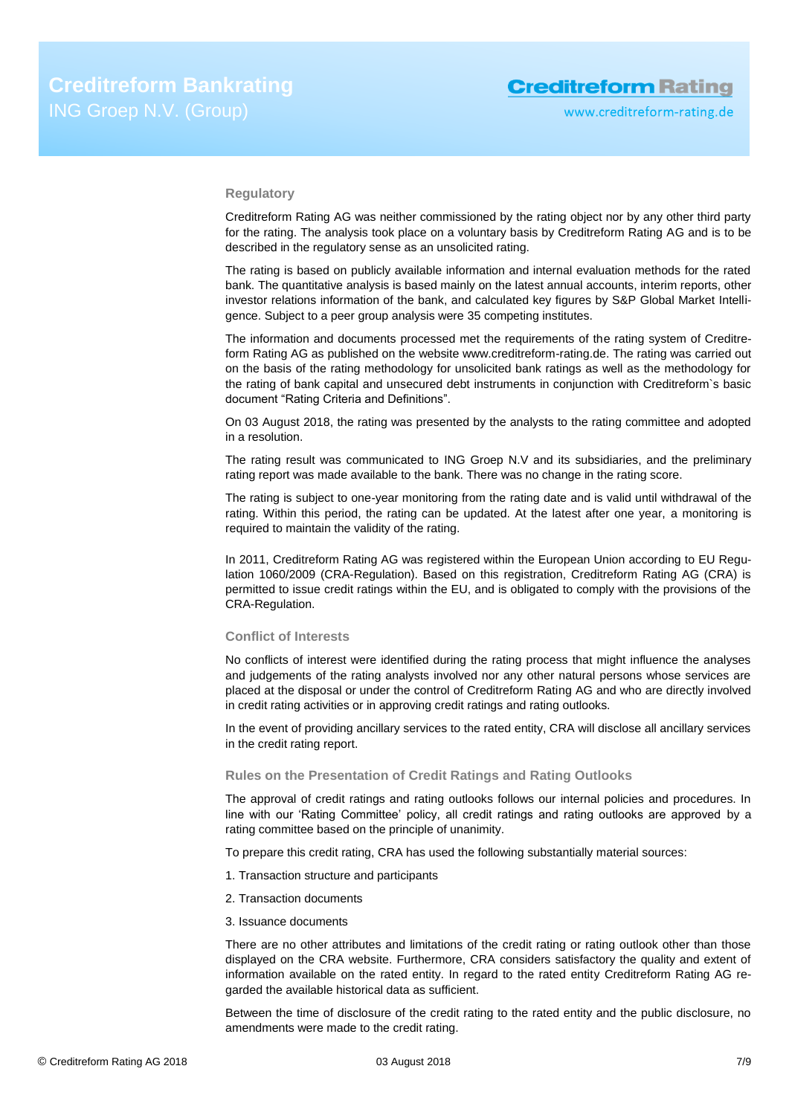### **Regulatory**

Creditreform Rating AG was neither commissioned by the rating object nor by any other third party for the rating. The analysis took place on a voluntary basis by Creditreform Rating AG and is to be described in the regulatory sense as an unsolicited rating.

The rating is based on publicly available information and internal evaluation methods for the rated bank. The quantitative analysis is based mainly on the latest annual accounts, interim reports, other investor relations information of the bank, and calculated key figures by S&P Global Market Intelligence. Subject to a peer group analysis were 35 competing institutes.

The information and documents processed met the requirements of the rating system of Creditreform Rating AG as published on the website www.creditreform-rating.de. The rating was carried out on the basis of the rating methodology for unsolicited bank ratings as well as the methodology for the rating of bank capital and unsecured debt instruments in conjunction with Creditreform`s basic document "Rating Criteria and Definitions".

On 03 August 2018, the rating was presented by the analysts to the rating committee and adopted in a resolution.

The rating result was communicated to ING Groep N.V and its subsidiaries, and the preliminary rating report was made available to the bank. There was no change in the rating score.

The rating is subject to one-year monitoring from the rating date and is valid until withdrawal of the rating. Within this period, the rating can be updated. At the latest after one year, a monitoring is required to maintain the validity of the rating.

In 2011, Creditreform Rating AG was registered within the European Union according to EU Regulation 1060/2009 (CRA-Regulation). Based on this registration, Creditreform Rating AG (CRA) is permitted to issue credit ratings within the EU, and is obligated to comply with the provisions of the CRA-Regulation.

### **Conflict of Interests**

No conflicts of interest were identified during the rating process that might influence the analyses and judgements of the rating analysts involved nor any other natural persons whose services are placed at the disposal or under the control of Creditreform Rating AG and who are directly involved in credit rating activities or in approving credit ratings and rating outlooks.

In the event of providing ancillary services to the rated entity, CRA will disclose all ancillary services in the credit rating report.

#### **Rules on the Presentation of Credit Ratings and Rating Outlooks**

The approval of credit ratings and rating outlooks follows our internal policies and procedures. In line with our 'Rating Committee' policy, all credit ratings and rating outlooks are approved by a rating committee based on the principle of unanimity.

To prepare this credit rating, CRA has used the following substantially material sources:

- 1. Transaction structure and participants
- 2. Transaction documents
- 3. Issuance documents

There are no other attributes and limitations of the credit rating or rating outlook other than those displayed on the CRA website. Furthermore, CRA considers satisfactory the quality and extent of information available on the rated entity. In regard to the rated entity Creditreform Rating AG regarded the available historical data as sufficient.

Between the time of disclosure of the credit rating to the rated entity and the public disclosure, no amendments were made to the credit rating.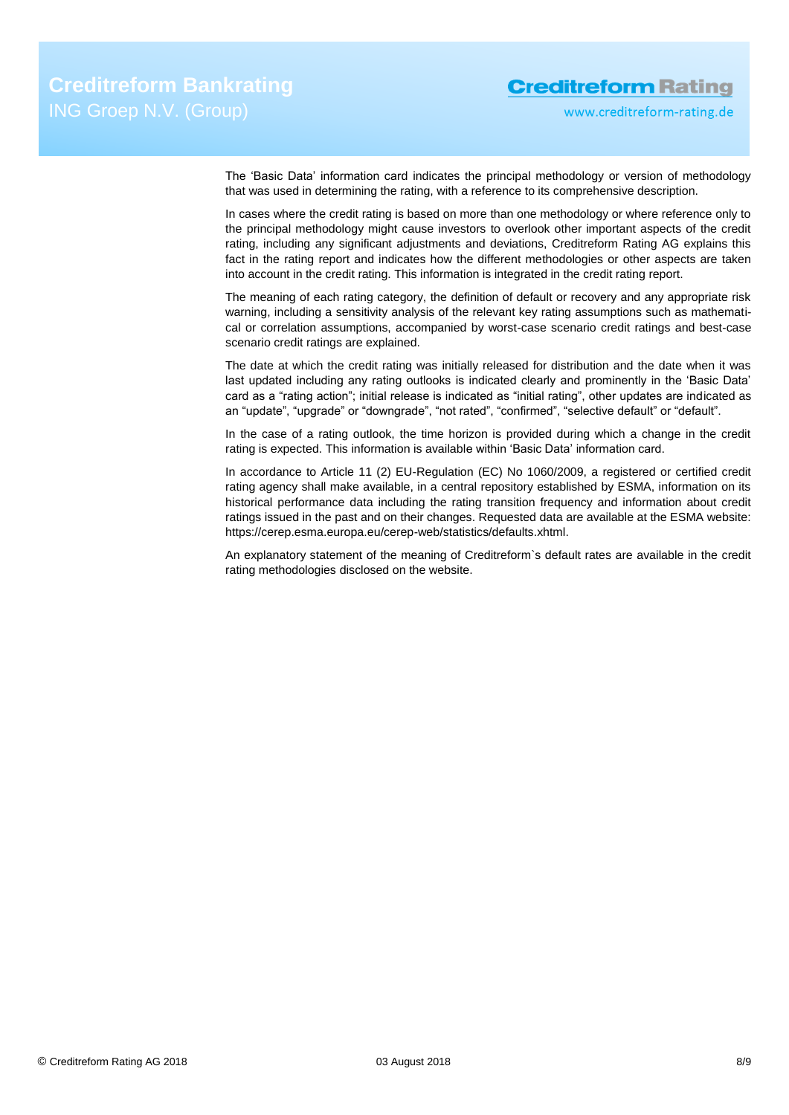www.creditreform-rating.de

The 'Basic Data' information card indicates the principal methodology or version of methodology that was used in determining the rating, with a reference to its comprehensive description.

In cases where the credit rating is based on more than one methodology or where reference only to the principal methodology might cause investors to overlook other important aspects of the credit rating, including any significant adjustments and deviations, Creditreform Rating AG explains this fact in the rating report and indicates how the different methodologies or other aspects are taken into account in the credit rating. This information is integrated in the credit rating report.

The meaning of each rating category, the definition of default or recovery and any appropriate risk warning, including a sensitivity analysis of the relevant key rating assumptions such as mathematical or correlation assumptions, accompanied by worst-case scenario credit ratings and best-case scenario credit ratings are explained.

The date at which the credit rating was initially released for distribution and the date when it was last updated including any rating outlooks is indicated clearly and prominently in the 'Basic Data' card as a "rating action"; initial release is indicated as "initial rating", other updates are indicated as an "update", "upgrade" or "downgrade", "not rated", "confirmed", "selective default" or "default".

In the case of a rating outlook, the time horizon is provided during which a change in the credit rating is expected. This information is available within 'Basic Data' information card.

In accordance to Article 11 (2) EU-Regulation (EC) No 1060/2009, a registered or certified credit rating agency shall make available, in a central repository established by ESMA, information on its historical performance data including the rating transition frequency and information about credit ratings issued in the past and on their changes. Requested data are available at the ESMA website: https://cerep.esma.europa.eu/cerep-web/statistics/defaults.xhtml.

An explanatory statement of the meaning of Creditreform`s default rates are available in the credit rating methodologies disclosed on the website.